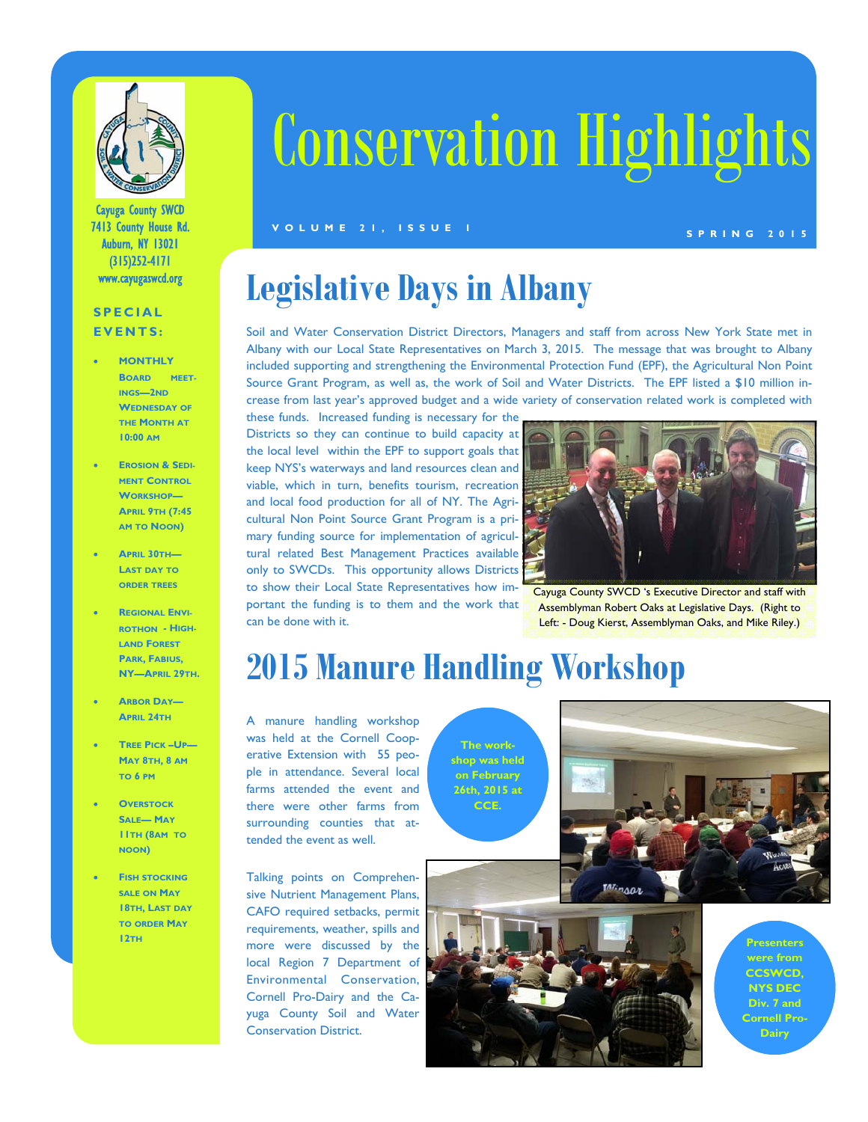

Cayuga County SWCD 7413 County House Rd. Auburn, NY 13021 (315)252-4171 www.cayugaswcd.org

#### **SPECIAL EVENTS:**

- **MONTHLY BOARD MEET-INGS—2ND WEDNESDAY OF THE MONTH AT 10:00 AM**
- **EROSION & SEDI-MENT CONTROL WORKSHOP— APRIL 9TH (7:45 AM TO NOON)**
- **APRIL 30TH— LAST DAY TO ORDER TREES**
- **REGIONAL ENVI-ROTHON - HIGH-LAND FOREST PARK, FABIUS, NY—APRIL 29TH.**
- **ARBOR DAY— APRIL 24TH**
- **TREE PICK –UP— MAY 8TH, 8 AM TO 6 PM**
- **OVERSTOCK SALE— MAY 11TH (8AM TO NOON)**
- **FISH STOCKING SALE ON MAY 18TH, LAST DAY TO ORDER MAY 12TH**

# Conservation Highlights

#### **SPRING 2015 VOLUME 21, ISSUE 1**

### **Legislative Days in Albany**

Soil and Water Conservation District Directors, Managers and staff from across New York State met in Albany with our Local State Representatives on March 3, 2015. The message that was brought to Albany included supporting and strengthening the Environmental Protection Fund (EPF), the Agricultural Non Point Source Grant Program, as well as, the work of Soil and Water Districts. The EPF listed a \$10 million increase from last year's approved budget and a wide variety of conservation related work is completed with

these funds. Increased funding is necessary for the Districts so they can continue to build capacity at the local level within the EPF to support goals that keep NYS's waterways and land resources clean and viable, which in turn, benefits tourism, recreation and local food production for all of NY. The Agricultural Non Point Source Grant Program is a primary funding source for implementation of agricultural related Best Management Practices available only to SWCDs. This opportunity allows Districts to show their Local State Representatives how important the funding is to them and the work that can be done with it.



Cayuga County SWCD 's Executive Director and staff with Assemblyman Robert Oaks at Legislative Days. (Right to Left: - Doug Kierst, Assemblyman Oaks, and Mike Riley.)

### **2015 Manure Handling Workshop**

A manure handling workshop was held at the Cornell Cooperative Extension with 55 people in attendance. Several local farms attended the event and there were other farms from surrounding counties that attended the event as well.

Talking points on Comprehensive Nutrient Management Plans, CAFO required setbacks, permit requirements, weather, spills and more were discussed by the local Region 7 Department of Environmental Conservation, Cornell Pro-Dairy and the Cayuga County Soil and Water Conservation District.







**Presenters were from CCSWCD, NYS DEC Div. 7 and Cornell Pro-Dairy**